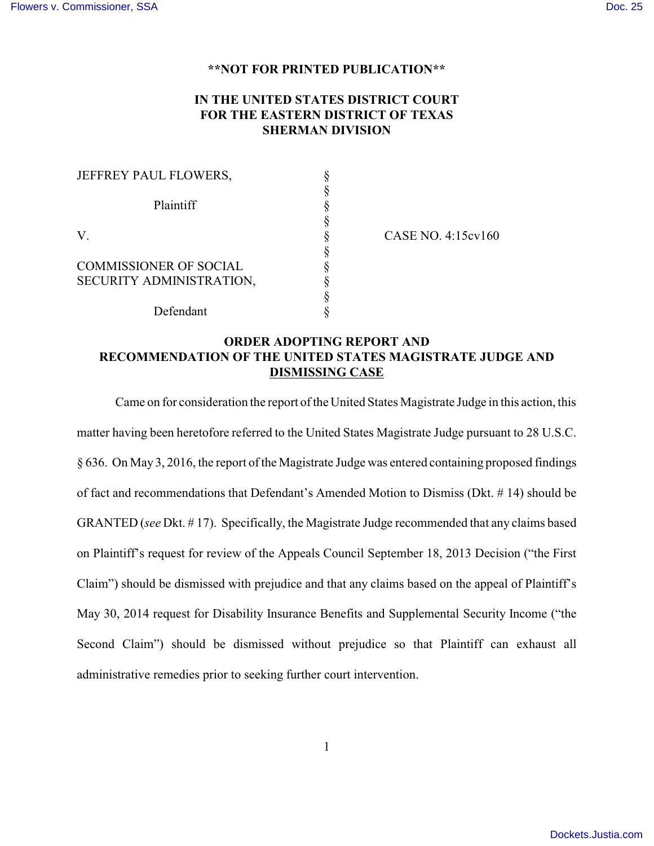## **\*\*NOT FOR PRINTED PUBLICATION\*\***

## **IN THE UNITED STATES DISTRICT COURT FOR THE EASTERN DISTRICT OF TEXAS SHERMAN DIVISION**

| JEFFREY PAUL FLOWERS,         |  |
|-------------------------------|--|
|                               |  |
| Plaintiff                     |  |
|                               |  |
| V.                            |  |
|                               |  |
| <b>COMMISSIONER OF SOCIAL</b> |  |
| SECURITY ADMINISTRATION,      |  |
|                               |  |
| Defendant                     |  |

CASE NO. 4:15cv160

## **ORDER ADOPTING REPORT AND RECOMMENDATION OF THE UNITED STATES MAGISTRATE JUDGE AND DISMISSING CASE**

Came on for consideration the report of the United States Magistrate Judge in this action, this matter having been heretofore referred to the United States Magistrate Judge pursuant to 28 U.S.C. § 636. On May 3, 2016, the report of the Magistrate Judge was entered containing proposed findings of fact and recommendations that Defendant's Amended Motion to Dismiss (Dkt. # 14) should be GRANTED (*see* Dkt. # 17). Specifically, the Magistrate Judge recommended that any claims based on Plaintiff's request for review of the Appeals Council September 18, 2013 Decision ("the First Claim") should be dismissed with prejudice and that any claims based on the appeal of Plaintiff's May 30, 2014 request for Disability Insurance Benefits and Supplemental Security Income ("the Second Claim") should be dismissed without prejudice so that Plaintiff can exhaust all administrative remedies prior to seeking further court intervention.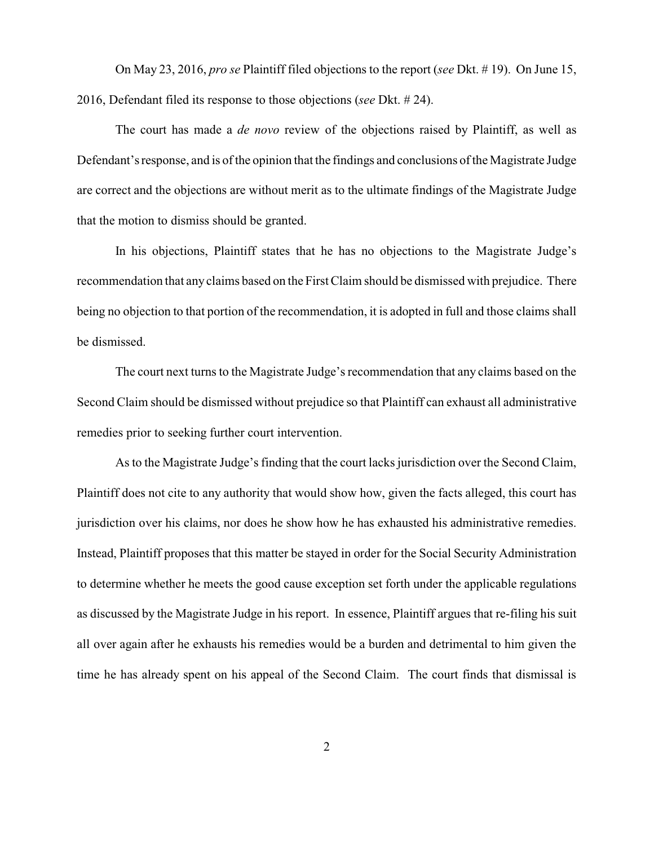On May 23, 2016, *pro se* Plaintiff filed objections to the report (*see* Dkt. # 19). On June 15, 2016, Defendant filed its response to those objections (*see* Dkt. # 24).

The court has made a *de novo* review of the objections raised by Plaintiff, as well as Defendant's response, and is of the opinion that the findings and conclusions of the Magistrate Judge are correct and the objections are without merit as to the ultimate findings of the Magistrate Judge that the motion to dismiss should be granted.

In his objections, Plaintiff states that he has no objections to the Magistrate Judge's recommendation that any claims based on the First Claim should be dismissed with prejudice. There being no objection to that portion of the recommendation, it is adopted in full and those claims shall be dismissed.

The court next turns to the Magistrate Judge's recommendation that any claims based on the Second Claim should be dismissed without prejudice so that Plaintiff can exhaust all administrative remedies prior to seeking further court intervention.

As to the Magistrate Judge's finding that the court lacks jurisdiction over the Second Claim, Plaintiff does not cite to any authority that would show how, given the facts alleged, this court has jurisdiction over his claims, nor does he show how he has exhausted his administrative remedies. Instead, Plaintiff proposes that this matter be stayed in order for the Social Security Administration to determine whether he meets the good cause exception set forth under the applicable regulations as discussed by the Magistrate Judge in his report. In essence, Plaintiff argues that re-filing his suit all over again after he exhausts his remedies would be a burden and detrimental to him given the time he has already spent on his appeal of the Second Claim. The court finds that dismissal is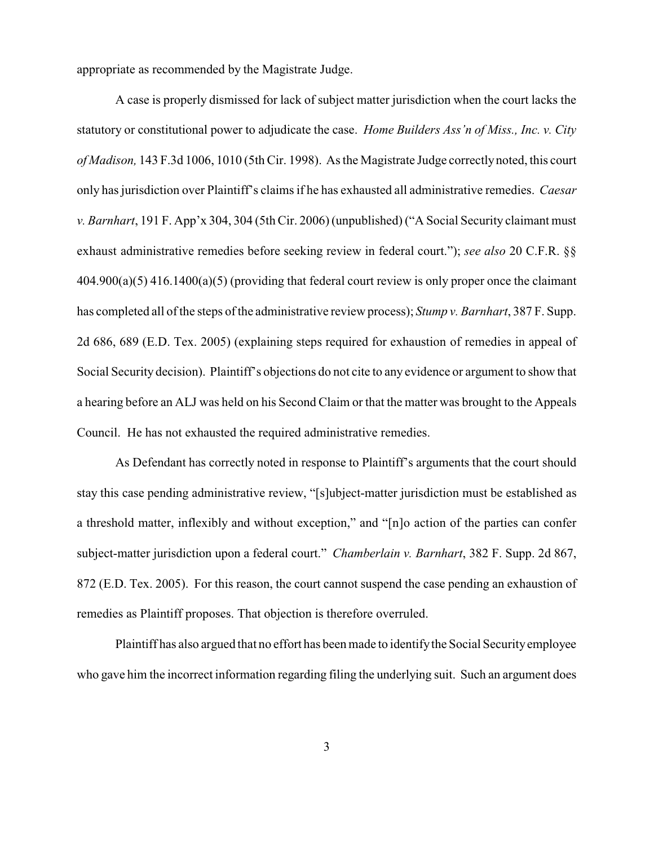appropriate as recommended by the Magistrate Judge.

A case is properly dismissed for lack of subject matter jurisdiction when the court lacks the statutory or constitutional power to adjudicate the case. *Home Builders Ass'n of Miss., Inc. v. City of Madison,* 143 F.3d 1006, 1010 (5th Cir. 1998). As the Magistrate Judge correctly noted, this court only has jurisdiction over Plaintiff's claims if he has exhausted all administrative remedies. *Caesar v. Barnhart*, 191 F. App'x 304, 304 (5th Cir. 2006) (unpublished) ("A Social Security claimant must exhaust administrative remedies before seeking review in federal court."); *see also* 20 C.F.R. §§ 404.900(a)(5) 416.1400(a)(5) (providing that federal court review is only proper once the claimant has completed all of the steps of the administrative review process); *Stump v. Barnhart*, 387 F. Supp. 2d 686, 689 (E.D. Tex. 2005) (explaining steps required for exhaustion of remedies in appeal of Social Security decision). Plaintiff's objections do not cite to any evidence or argument to show that a hearing before an ALJ was held on his Second Claim or that the matter was brought to the Appeals Council. He has not exhausted the required administrative remedies.

As Defendant has correctly noted in response to Plaintiff's arguments that the court should stay this case pending administrative review, "[s]ubject-matter jurisdiction must be established as a threshold matter, inflexibly and without exception," and "[n]o action of the parties can confer subject-matter jurisdiction upon a federal court." *Chamberlain v. Barnhart*, 382 F. Supp. 2d 867, 872 (E.D. Tex. 2005). For this reason, the court cannot suspend the case pending an exhaustion of remedies as Plaintiff proposes. That objection is therefore overruled.

Plaintiff has also argued that no effort has been made to identify the Social Security employee who gave him the incorrect information regarding filing the underlying suit. Such an argument does